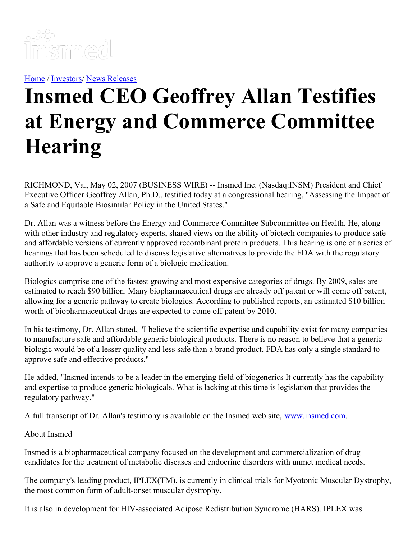

[Home](https://insmed.com/) / [Investors](https://investor.insmed.com/index)/ News [Releases](https://investor.insmed.com/releases)

## **Insmed CEO Geoffrey Allan Testifies at Energy and Commerce Committee Hearing**

RICHMOND, Va., May 02, 2007 (BUSINESS WIRE) -- Insmed Inc. (Nasdaq:INSM) President and Chief Executive Officer Geoffrey Allan, Ph.D., testified today at a congressional hearing, "Assessing the Impact of a Safe and Equitable Biosimilar Policy in the United States."

Dr. Allan was a witness before the Energy and Commerce Committee Subcommittee on Health. He, along with other industry and regulatory experts, shared views on the ability of biotech companies to produce safe and affordable versions of currently approved recombinant protein products. This hearing is one of a series of hearings that has been scheduled to discuss legislative alternatives to provide the FDA with the regulatory authority to approve a generic form of a biologic medication.

Biologics comprise one of the fastest growing and most expensive categories of drugs. By 2009, sales are estimated to reach \$90 billion. Many biopharmaceutical drugs are already off patent or will come off patent, allowing for a generic pathway to create biologics. According to published reports, an estimated \$10 billion worth of biopharmaceutical drugs are expected to come off patent by 2010.

In his testimony, Dr. Allan stated, "I believe the scientific expertise and capability exist for many companies to manufacture safe and affordable generic biological products. There is no reason to believe that a generic biologic would be of a lesser quality and less safe than a brand product. FDA has only a single standard to approve safe and effective products."

He added, "Insmed intends to be a leader in the emerging field of biogenerics It currently has the capability and expertise to produce generic biologicals. What is lacking at this time is legislation that provides the regulatory pathway."

A full transcript of Dr. Allan's testimony is available on the Insmed web site, [www.insmed.com](http://www.insmed.com/).

About Insmed

Insmed is a biopharmaceutical company focused on the development and commercialization of drug candidates for the treatment of metabolic diseases and endocrine disorders with unmet medical needs.

The company's leading product, IPLEX(TM), is currently in clinical trials for Myotonic Muscular Dystrophy, the most common form of adult-onset muscular dystrophy.

It is also in development for HIV-associated Adipose Redistribution Syndrome (HARS). IPLEX was